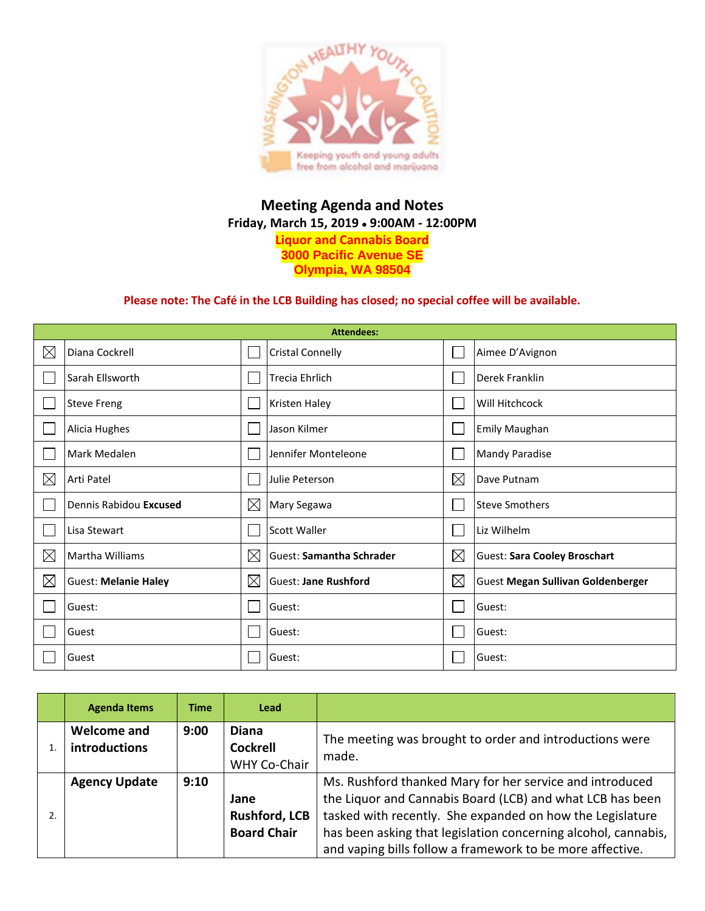

## **Meeting Agenda and Notes Friday, March 15, 2019 9:00AM - 12:00PM Liquor and Cannabis Board 3000 Pacific Avenue SE Olympia, WA 98504**

## **Please note: The Café in the LCB Building has closed; no special coffee will be available.**

| <b>Attendees:</b> |                             |             |                                 |             |                                          |  |  |
|-------------------|-----------------------------|-------------|---------------------------------|-------------|------------------------------------------|--|--|
| $\boxtimes$       | Diana Cockrell              |             | <b>Cristal Connelly</b>         |             | Aimee D'Avignon                          |  |  |
|                   | Sarah Ellsworth             |             | <b>Trecia Ehrlich</b>           |             | Derek Franklin                           |  |  |
|                   | <b>Steve Freng</b>          |             | Kristen Haley                   |             | Will Hitchcock                           |  |  |
|                   | Alicia Hughes               |             | Jason Kilmer                    |             | <b>Emily Maughan</b>                     |  |  |
|                   | Mark Medalen                |             | Jennifer Monteleone             |             | <b>Mandy Paradise</b>                    |  |  |
| $\boxtimes$       | Arti Patel                  |             | Julie Peterson                  | $\boxtimes$ | Dave Putnam                              |  |  |
|                   | Dennis Rabidou Excused      | $\boxtimes$ | Mary Segawa                     |             | <b>Steve Smothers</b>                    |  |  |
|                   | Lisa Stewart                |             | Scott Waller                    |             | Liz Wilhelm                              |  |  |
| $\times$          | <b>Martha Williams</b>      | $\boxtimes$ | <b>Guest: Samantha Schrader</b> | $\boxtimes$ | <b>Guest: Sara Cooley Broschart</b>      |  |  |
| $\boxtimes$       | <b>Guest: Melanie Haley</b> | $\boxtimes$ | <b>Guest: Jane Rushford</b>     | $\boxtimes$ | <b>Guest Megan Sullivan Goldenberger</b> |  |  |
|                   | Guest:                      |             | Guest:                          |             | Guest:                                   |  |  |
|                   | Guest                       |             | Guest:                          |             | Guest:                                   |  |  |
|                   | Guest                       |             | Guest:                          |             | Guest:                                   |  |  |

| <b>Agenda Items</b>                 | <b>Time</b> | <b>Lead</b>                                            |                                                                                                                                                                                                                                                                                                                   |
|-------------------------------------|-------------|--------------------------------------------------------|-------------------------------------------------------------------------------------------------------------------------------------------------------------------------------------------------------------------------------------------------------------------------------------------------------------------|
| Welcome and<br><b>introductions</b> | 9:00        | <b>Diana</b><br><b>Cockrell</b><br><b>WHY Co-Chair</b> | The meeting was brought to order and introductions were<br>made.                                                                                                                                                                                                                                                  |
| <b>Agency Update</b>                | 9:10        | Jane<br><b>Rushford, LCB</b><br><b>Board Chair</b>     | Ms. Rushford thanked Mary for her service and introduced<br>the Liquor and Cannabis Board (LCB) and what LCB has been<br>tasked with recently. She expanded on how the Legislature<br>has been asking that legislation concerning alcohol, cannabis,<br>and vaping bills follow a framework to be more affective. |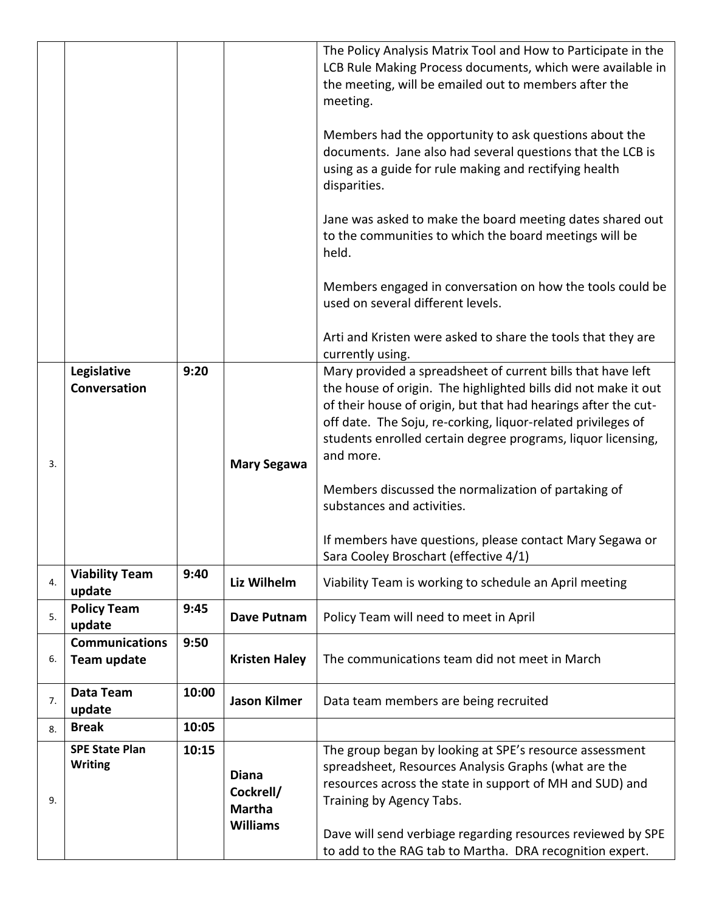|    |                                             |       |                                                               | The Policy Analysis Matrix Tool and How to Participate in the<br>LCB Rule Making Process documents, which were available in<br>the meeting, will be emailed out to members after the<br>meeting.                                                                                                                                   |
|----|---------------------------------------------|-------|---------------------------------------------------------------|------------------------------------------------------------------------------------------------------------------------------------------------------------------------------------------------------------------------------------------------------------------------------------------------------------------------------------|
|    |                                             |       |                                                               | Members had the opportunity to ask questions about the<br>documents. Jane also had several questions that the LCB is<br>using as a guide for rule making and rectifying health<br>disparities.                                                                                                                                     |
|    |                                             |       |                                                               | Jane was asked to make the board meeting dates shared out<br>to the communities to which the board meetings will be<br>held.                                                                                                                                                                                                       |
|    |                                             |       |                                                               | Members engaged in conversation on how the tools could be<br>used on several different levels.                                                                                                                                                                                                                                     |
|    |                                             |       |                                                               | Arti and Kristen were asked to share the tools that they are<br>currently using.                                                                                                                                                                                                                                                   |
|    | Legislative<br>Conversation                 | 9:20  |                                                               | Mary provided a spreadsheet of current bills that have left<br>the house of origin. The highlighted bills did not make it out<br>of their house of origin, but that had hearings after the cut-<br>off date. The Soju, re-corking, liquor-related privileges of<br>students enrolled certain degree programs, liquor licensing,    |
| 3. |                                             |       | <b>Mary Segawa</b>                                            | and more.<br>Members discussed the normalization of partaking of<br>substances and activities.<br>If members have questions, please contact Mary Segawa or                                                                                                                                                                         |
|    |                                             |       |                                                               | Sara Cooley Broschart (effective 4/1)                                                                                                                                                                                                                                                                                              |
| 4. | <b>Viability Team</b><br>update             | 9:40  | Liz Wilhelm                                                   | Viability Team is working to schedule an April meeting                                                                                                                                                                                                                                                                             |
| 5. | <b>Policy Team</b><br>update                | 9:45  | Dave Putnam                                                   | Policy Team will need to meet in April                                                                                                                                                                                                                                                                                             |
| 6. | <b>Communications</b><br><b>Team update</b> | 9:50  | <b>Kristen Haley</b>                                          | The communications team did not meet in March                                                                                                                                                                                                                                                                                      |
| 7. | Data Team<br>update                         | 10:00 | <b>Jason Kilmer</b>                                           | Data team members are being recruited                                                                                                                                                                                                                                                                                              |
| 8. | <b>Break</b>                                | 10:05 |                                                               |                                                                                                                                                                                                                                                                                                                                    |
| 9. | <b>SPE State Plan</b><br><b>Writing</b>     | 10:15 | <b>Diana</b><br>Cockrell/<br><b>Martha</b><br><b>Williams</b> | The group began by looking at SPE's resource assessment<br>spreadsheet, Resources Analysis Graphs (what are the<br>resources across the state in support of MH and SUD) and<br>Training by Agency Tabs.<br>Dave will send verbiage regarding resources reviewed by SPE<br>to add to the RAG tab to Martha. DRA recognition expert. |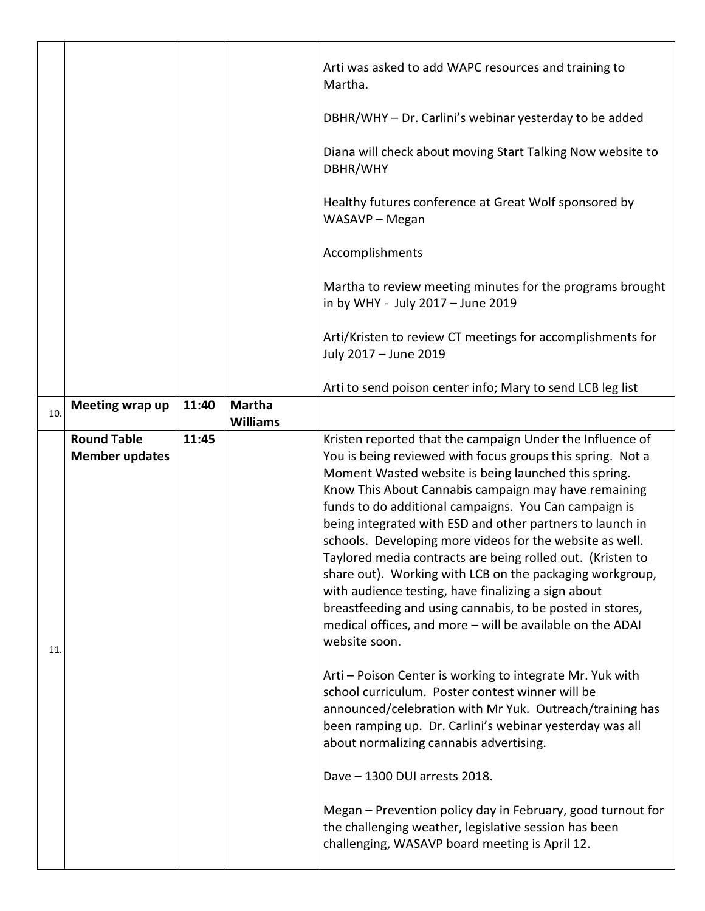|     |                                             |       |                                  | Arti was asked to add WAPC resources and training to<br>Martha.                                                                                                                                                                                                                                                                                                                                                                                                                                                                                                                                                                                                                                                                                       |
|-----|---------------------------------------------|-------|----------------------------------|-------------------------------------------------------------------------------------------------------------------------------------------------------------------------------------------------------------------------------------------------------------------------------------------------------------------------------------------------------------------------------------------------------------------------------------------------------------------------------------------------------------------------------------------------------------------------------------------------------------------------------------------------------------------------------------------------------------------------------------------------------|
|     |                                             |       |                                  | DBHR/WHY - Dr. Carlini's webinar yesterday to be added                                                                                                                                                                                                                                                                                                                                                                                                                                                                                                                                                                                                                                                                                                |
|     |                                             |       |                                  | Diana will check about moving Start Talking Now website to<br>DBHR/WHY                                                                                                                                                                                                                                                                                                                                                                                                                                                                                                                                                                                                                                                                                |
|     |                                             |       |                                  | Healthy futures conference at Great Wolf sponsored by<br>WASAVP - Megan                                                                                                                                                                                                                                                                                                                                                                                                                                                                                                                                                                                                                                                                               |
|     |                                             |       |                                  | Accomplishments                                                                                                                                                                                                                                                                                                                                                                                                                                                                                                                                                                                                                                                                                                                                       |
|     |                                             |       |                                  | Martha to review meeting minutes for the programs brought<br>in by WHY - July 2017 - June 2019                                                                                                                                                                                                                                                                                                                                                                                                                                                                                                                                                                                                                                                        |
|     |                                             |       |                                  | Arti/Kristen to review CT meetings for accomplishments for<br>July 2017 - June 2019                                                                                                                                                                                                                                                                                                                                                                                                                                                                                                                                                                                                                                                                   |
|     |                                             |       |                                  | Arti to send poison center info; Mary to send LCB leg list                                                                                                                                                                                                                                                                                                                                                                                                                                                                                                                                                                                                                                                                                            |
| 10. | Meeting wrap up                             | 11:40 | <b>Martha</b><br><b>Williams</b> |                                                                                                                                                                                                                                                                                                                                                                                                                                                                                                                                                                                                                                                                                                                                                       |
| 11. | <b>Round Table</b><br><b>Member updates</b> | 11:45 |                                  | Kristen reported that the campaign Under the Influence of<br>You is being reviewed with focus groups this spring. Not a<br>Moment Wasted website is being launched this spring.<br>Know This About Cannabis campaign may have remaining<br>funds to do additional campaigns. You Can campaign is<br>being integrated with ESD and other partners to launch in<br>schools. Developing more videos for the website as well.<br>Taylored media contracts are being rolled out. (Kristen to<br>share out). Working with LCB on the packaging workgroup,<br>with audience testing, have finalizing a sign about<br>breastfeeding and using cannabis, to be posted in stores,<br>medical offices, and more - will be available on the ADAI<br>website soon. |
|     |                                             |       |                                  | Arti – Poison Center is working to integrate Mr. Yuk with<br>school curriculum. Poster contest winner will be<br>announced/celebration with Mr Yuk. Outreach/training has<br>been ramping up. Dr. Carlini's webinar yesterday was all<br>about normalizing cannabis advertising.                                                                                                                                                                                                                                                                                                                                                                                                                                                                      |
|     |                                             |       |                                  | Dave - 1300 DUI arrests 2018.                                                                                                                                                                                                                                                                                                                                                                                                                                                                                                                                                                                                                                                                                                                         |
|     |                                             |       |                                  | Megan - Prevention policy day in February, good turnout for<br>the challenging weather, legislative session has been<br>challenging, WASAVP board meeting is April 12.                                                                                                                                                                                                                                                                                                                                                                                                                                                                                                                                                                                |